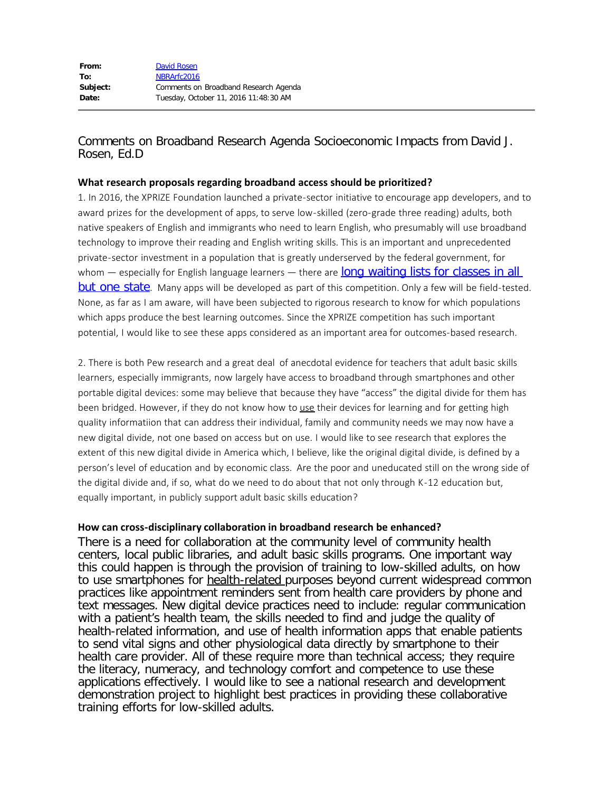## Comments on Broadband Research Agenda Socioeconomic Impacts from David J. Rosen, Ed.D

## **What research proposals regarding broadband access should be prioritized?**

1. In 2016, the XPRIZE Foundation launched a private-sector initiative to encourage app developers, and to award prizes for the development of apps, to serve low-skilled (zero-grade three reading) adults, both native speakers of English and immigrants who need to learn English, who presumably will use broadband technology to improve their reading and English writing skills. This is an important and unprecedented private-sector investment in a population that is greatly underserved by the federal government, for whom  $-$  especially for English language learners  $-$  there are long waiting lists for classes in all [but one state](http://naepdc.org/publications/2010%20Adult%20Education%20Waiting%20List%20Report.pdf). Many apps will be developed as part of this competition. Only a few will be field-tested. None, as far as I am aware, will have been subjected to rigorous research to know for which populations which apps produce the best learning outcomes. Since the XPRIZE competition has such important potential, I would like to see these apps considered as an important area for outcomes-based research.

2. There is both Pew research and a great deal of anecdotal evidence for teachers that adult basic skills learners, especially immigrants, now largely have access to broadband through smartphones and other portable digital devices: some may believe that because they have "access" the digital divide for them has been bridged. However, if they do not know how to use their devices for learning and for getting high quality informatiion that can address their individual, family and community needs we may now have a new digital divide, not one based on access but on use. I would like to see research that explores the extent of this new digital divide in America which, I believe, like the original digital divide, is defined by a person's level of education and by economic class. Are the poor and uneducated still on the wrong side of the digital divide and, if so, what do we need to do about that not only through K-12 education but, equally important, in publicly support adult basic skills education?

## **How can cross-disciplinary collaboration in broadband research be enhanced?**

There is a need for collaboration at the community level of community health centers, local public libraries, and adult basic skills programs. One important way this could happen is through the provision of training to low-skilled adults, on how to use smartphones for health-related purposes beyond current widespread common practices like appointment reminders sent from health care providers by phone and text messages. New digital device practices need to include: regular communication with a patient's health team, the skills needed to find and judge the quality of health-related information, and use of health information apps that enable patients to send vital signs and other physiological data directly by smartphone to their health care provider. All of these require more than technical access; they require the literacy, numeracy, and technology comfort and competence to use these applications effectively. I would like to see a national research and development demonstration project to highlight best practices in providing these collaborative training efforts for low-skilled adults.